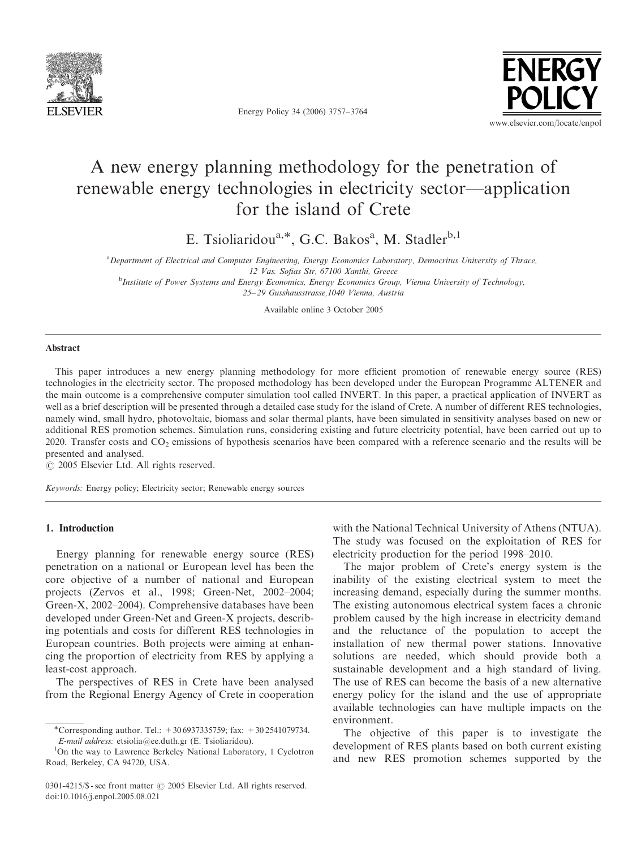

Energy Policy 34 (2006) 3757–3764



# A new energy planning methodology for the penetration of renewable energy technologies in electricity sector—application for the island of Crete

E. Tsioliaridou<sup>a,\*</sup>, G.C. Bakos<sup>a</sup>, M. Stadler<sup>b,1</sup>

a Department of Electrical and Computer Engineering, Energy Economics Laboratory, Democritus University of Thrace, 12 Vas. Sofias Str, 67100 Xanthi, Greece

<sup>b</sup>Institute of Power Systems and Energy Economics, Energy Economics Group, Vienna University of Technology, 25– 29 Gusshausstrasse,1040 Vienna, Austria

Available online 3 October 2005

### Abstract

This paper introduces a new energy planning methodology for more efficient promotion of renewable energy source (RES) technologies in the electricity sector. The proposed methodology has been developed under the European Programme ALTENER and the main outcome is a comprehensive computer simulation tool called INVERT. In this paper, a practical application of INVERT as well as a brief description will be presented through a detailed case study for the island of Crete. A number of different RES technologies, namely wind, small hydro, photovoltaic, biomass and solar thermal plants, have been simulated in sensitivity analyses based on new or additional RES promotion schemes. Simulation runs, considering existing and future electricity potential, have been carried out up to 2020. Transfer costs and CO<sub>2</sub> emissions of hypothesis scenarios have been compared with a reference scenario and the results will be presented and analysed.

 $\odot$  2005 Elsevier Ltd. All rights reserved.

Keywords: Energy policy; Electricity sector; Renewable energy sources

## 1. Introduction

Energy planning for renewable energy source (RES) penetration on a national or European level has been the core objective of a number of national and European projects (Zervos et al., 1998; Green-Net, 2002–2004; Green-X, 2002–2004). Comprehensive databases have been developed under Green-Net and Green-X projects, describing potentials and costs for different RES technologies in European countries. Both projects were aiming at enhancing the proportion of electricity from RES by applying a least-cost approach.

The perspectives of RES in Crete have been analysed from the Regional Energy Agency of Crete in cooperation with the National Technical University of Athens (NTUA). The study was focused on the exploitation of RES for electricity production for the period 1998–2010.

The major problem of Crete's energy system is the inability of the existing electrical system to meet the increasing demand, especially during the summer months. The existing autonomous electrical system faces a chronic problem caused by the high increase in electricity demand and the reluctance of the population to accept the installation of new thermal power stations. Innovative solutions are needed, which should provide both a sustainable development and a high standard of living. The use of RES can become the basis of a new alternative energy policy for the island and the use of appropriate available technologies can have multiple impacts on the environment.

The objective of this paper is to investigate the development of RES plants based on both current existing and new RES promotion schemes supported by the

<sup>\*</sup>Corresponding author. Tel.:  $+306937335759$ ; fax:  $+302541079734$ . E-mail address: etsiolia@ee.duth.gr (E. Tsioliaridou).

<sup>&</sup>lt;sup>1</sup>On the way to Lawrence Berkeley National Laboratory, 1 Cyclotron Road, Berkeley, CA 94720, USA.

<sup>0301-4215/</sup> $\$  - see front matter  $\circ$  2005 Elsevier Ltd. All rights reserved. doi:10.1016/j.enpol.2005.08.021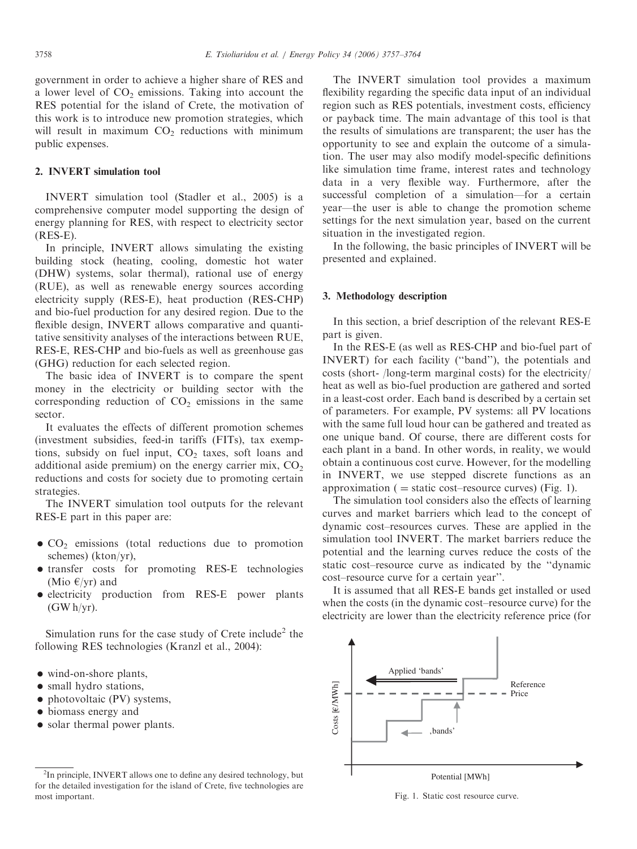government in order to achieve a higher share of RES and a lower level of  $CO<sub>2</sub>$  emissions. Taking into account the RES potential for the island of Crete, the motivation of this work is to introduce new promotion strategies, which will result in maximum  $CO<sub>2</sub>$  reductions with minimum public expenses.

### 2. INVERT simulation tool

INVERT simulation tool (Stadler et al., 2005) is a comprehensive computer model supporting the design of energy planning for RES, with respect to electricity sector (RES-E).

In principle, INVERT allows simulating the existing building stock (heating, cooling, domestic hot water (DHW) systems, solar thermal), rational use of energy (RUE), as well as renewable energy sources according electricity supply (RES-E), heat production (RES-CHP) and bio-fuel production for any desired region. Due to the flexible design, INVERT allows comparative and quantitative sensitivity analyses of the interactions between RUE, RES-E, RES-CHP and bio-fuels as well as greenhouse gas (GHG) reduction for each selected region.

The basic idea of INVERT is to compare the spent money in the electricity or building sector with the corresponding reduction of  $CO<sub>2</sub>$  emissions in the same sector.

It evaluates the effects of different promotion schemes (investment subsidies, feed-in tariffs (FITs), tax exemptions, subsidy on fuel input,  $CO<sub>2</sub>$  taxes, soft loans and additional aside premium) on the energy carrier mix,  $CO<sub>2</sub>$ reductions and costs for society due to promoting certain strategies.

The INVERT simulation tool outputs for the relevant RES-E part in this paper are:

- $\bullet$  CO<sub>2</sub> emissions (total reductions due to promotion schemes) (kton/yr),
- transfer costs for promoting RES-E technologies (Mio  $\epsilon$ /yr) and
- $\bullet$  electricity production from RES-E power plants  $(GW h/yr)$ .

Simulation runs for the case study of Crete include<sup>2</sup> the following RES technologies (Kranzl et al., 2004):

- wind-on-shore plants,
- small hydro stations,
- photovoltaic (PV) systems,
- biomass energy and
- solar thermal power plants.

The INVERT simulation tool provides a maximum flexibility regarding the specific data input of an individual region such as RES potentials, investment costs, efficiency or payback time. The main advantage of this tool is that the results of simulations are transparent; the user has the opportunity to see and explain the outcome of a simulation. The user may also modify model-specific definitions like simulation time frame, interest rates and technology data in a very flexible way. Furthermore, after the successful completion of a simulation—for a certain year—the user is able to change the promotion scheme settings for the next simulation year, based on the current situation in the investigated region.

In the following, the basic principles of INVERT will be presented and explained.

#### 3. Methodology description

In this section, a brief description of the relevant RES-E part is given.

In the RES-E (as well as RES-CHP and bio-fuel part of INVERT) for each facility (''band''), the potentials and costs (short- /long-term marginal costs) for the electricity/ heat as well as bio-fuel production are gathered and sorted in a least-cost order. Each band is described by a certain set of parameters. For example, PV systems: all PV locations with the same full loud hour can be gathered and treated as one unique band. Of course, there are different costs for each plant in a band. In other words, in reality, we would obtain a continuous cost curve. However, for the modelling in INVERT, we use stepped discrete functions as an approximation ( $=$  static cost–resource curves) (Fig. 1).

The simulation tool considers also the effects of learning curves and market barriers which lead to the concept of dynamic cost–resources curves. These are applied in the simulation tool INVERT. The market barriers reduce the potential and the learning curves reduce the costs of the static cost–resource curve as indicated by the ''dynamic cost–resource curve for a certain year''.

It is assumed that all RES-E bands get installed or used when the costs (in the dynamic cost–resource curve) for the electricity are lower than the electricity reference price (for



Fig. 1. Static cost resource curve.

<sup>&</sup>lt;sup>2</sup>In principle, INVERT allows one to define any desired technology, but for the detailed investigation for the island of Crete, five technologies are most important.